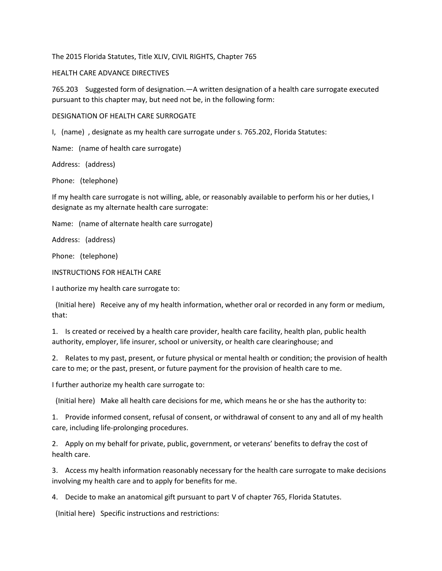The 2015 Florida Statutes, Title XLIV, CIVIL RIGHTS, Chapter 765

## HEALTH CARE ADVANCE DIRECTIVES

765.203 Suggested form of designation.—A written designation of a health care surrogate executed pursuant to this chapter may, but need not be, in the following form:

DESIGNATION OF HEALTH CARE SURROGATE

I, (name) , designate as my health care surrogate under s. 765.202, Florida Statutes:

Name: (name of health care surrogate)

Address: (address)

Phone: (telephone)

If my health care surrogate is not willing, able, or reasonably available to perform his or her duties, I designate as my alternate health care surrogate:

Name: (name of alternate health care surrogate)

Address: (address)

Phone: (telephone)

INSTRUCTIONS FOR HEALTH CARE

I authorize my health care surrogate to:

 (Initial here) Receive any of my health information, whether oral or recorded in any form or medium, that:

1. Is created or received by a health care provider, health care facility, health plan, public health authority, employer, life insurer, school or university, or health care clearinghouse; and

2. Relates to my past, present, or future physical or mental health or condition; the provision of health care to me; or the past, present, or future payment for the provision of health care to me.

I further authorize my health care surrogate to:

(Initial here) Make all health care decisions for me, which means he or she has the authority to:

1. Provide informed consent, refusal of consent, or withdrawal of consent to any and all of my health care, including life-prolonging procedures.

2. Apply on my behalf for private, public, government, or veterans' benefits to defray the cost of health care.

3. Access my health information reasonably necessary for the health care surrogate to make decisions involving my health care and to apply for benefits for me.

4. Decide to make an anatomical gift pursuant to part V of chapter 765, Florida Statutes.

(Initial here) Specific instructions and restrictions: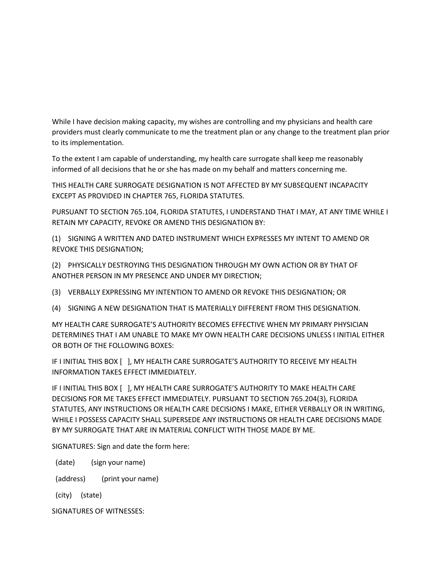While I have decision making capacity, my wishes are controlling and my physicians and health care providers must clearly communicate to me the treatment plan or any change to the treatment plan prior to its implementation.

To the extent I am capable of understanding, my health care surrogate shall keep me reasonably informed of all decisions that he or she has made on my behalf and matters concerning me.

THIS HEALTH CARE SURROGATE DESIGNATION IS NOT AFFECTED BY MY SUBSEQUENT INCAPACITY EXCEPT AS PROVIDED IN CHAPTER 765, FLORIDA STATUTES.

PURSUANT TO SECTION 765.104, FLORIDA STATUTES, I UNDERSTAND THAT I MAY, AT ANY TIME WHILE I RETAIN MY CAPACITY, REVOKE OR AMEND THIS DESIGNATION BY:

(1) SIGNING A WRITTEN AND DATED INSTRUMENT WHICH EXPRESSES MY INTENT TO AMEND OR REVOKE THIS DESIGNATION;

(2) PHYSICALLY DESTROYING THIS DESIGNATION THROUGH MY OWN ACTION OR BY THAT OF ANOTHER PERSON IN MY PRESENCE AND UNDER MY DIRECTION;

(3) VERBALLY EXPRESSING MY INTENTION TO AMEND OR REVOKE THIS DESIGNATION; OR

(4) SIGNING A NEW DESIGNATION THAT IS MATERIALLY DIFFERENT FROM THIS DESIGNATION.

MY HEALTH CARE SURROGATE'S AUTHORITY BECOMES EFFECTIVE WHEN MY PRIMARY PHYSICIAN DETERMINES THAT I AM UNABLE TO MAKE MY OWN HEALTH CARE DECISIONS UNLESS I INITIAL EITHER OR BOTH OF THE FOLLOWING BOXES:

IF I INITIAL THIS BOX [ ], MY HEALTH CARE SURROGATE'S AUTHORITY TO RECEIVE MY HEALTH INFORMATION TAKES EFFECT IMMEDIATELY.

IF I INITIAL THIS BOX [ ], MY HEALTH CARE SURROGATE'S AUTHORITY TO MAKE HEALTH CARE DECISIONS FOR ME TAKES EFFECT IMMEDIATELY. PURSUANT TO SECTION 765.204(3), FLORIDA STATUTES, ANY INSTRUCTIONS OR HEALTH CARE DECISIONS I MAKE, EITHER VERBALLY OR IN WRITING, WHILE I POSSESS CAPACITY SHALL SUPERSEDE ANY INSTRUCTIONS OR HEALTH CARE DECISIONS MADE BY MY SURROGATE THAT ARE IN MATERIAL CONFLICT WITH THOSE MADE BY ME.

SIGNATURES: Sign and date the form here:

(date) (sign your name)

(address) (print your name)

(city) (state)

SIGNATURES OF WITNESSES: